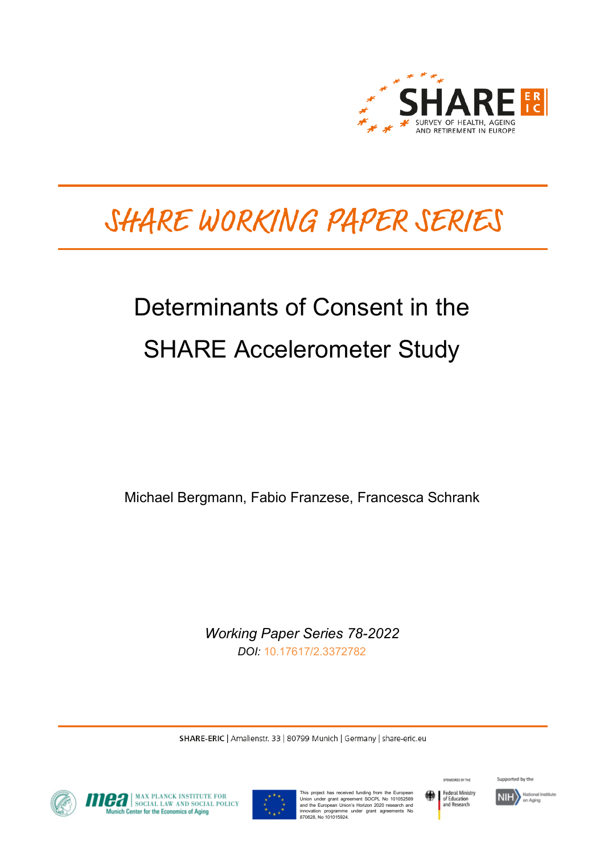

# SHARE WORKING PAPER SERIES

# Determinants of Consent in the SHARE Accelerometer Study

Michael Bergmann, Fabio Franzese, Francesca Schrank

*Working Paper Series 78-2022 DOI:* [10.17617/2.3372782](https://doi.org/10.17617/2.3372782)

SHARE-ERIC | Amalienstr. 33 | 80799 Munich | Germany | share-eric.eu



**OFFICIAL MAX PLANCK INSTITUTE FOR SOCIAL POLICY**<br>Munich Center for the Economics of Aging



This project has received funding from the European Union under grant agreement SOCPL No 101052589 and the European Union's Horizon 2020 research and innovation programme under grant agreements No 870628, No 101015924.



SPONSORED BY THE

Supported by the

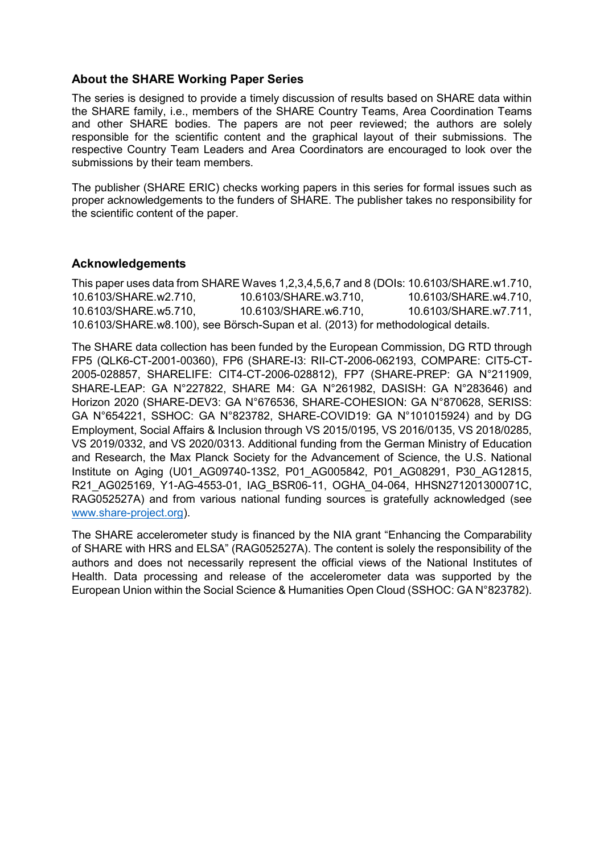#### **About the SHARE Working Paper Series**

The series is designed to provide a timely discussion of results based on SHARE data within the SHARE family, i.e., members of the SHARE Country Teams, Area Coordination Teams and other SHARE bodies. The papers are not peer reviewed; the authors are solely responsible for the scientific content and the graphical layout of their submissions. The respective Country Team Leaders and Area Coordinators are encouraged to look over the submissions by their team members.

The publisher (SHARE ERIC) checks working papers in this series for formal issues such as proper acknowledgements to the funders of SHARE. The publisher takes no responsibility for the scientific content of the paper.

#### **Acknowledgements**

This paper uses data from SHARE Waves 1,2,3,4,5,6,7 and 8 (DOIs: 10.6103/SHARE.w1.710, 10.6103/SHARE.w2.710, 10.6103/SHARE.w3.710, 10.6103/SHARE.w4.710, 10.6103/SHARE.w5.710, 10.6103/SHARE.w6.710, 10.6103/SHARE.w7.711, 10.6103/SHARE.w8.100), see Börsch-Supan et al. (2013) for methodological details.

The SHARE data collection has been funded by the European Commission, DG RTD through FP5 (QLK6-CT-2001-00360), FP6 (SHARE-I3: RII-CT-2006-062193, COMPARE: CIT5-CT-2005-028857, SHARELIFE: CIT4-CT-2006-028812), FP7 (SHARE-PREP: GA N°211909, SHARE-LEAP: GA N°227822, SHARE M4: GA N°261982, DASISH: GA N°283646) and Horizon 2020 (SHARE-DEV3: GA N°676536, SHARE-COHESION: GA N°870628, SERISS: GA N°654221, SSHOC: GA N°823782, SHARE-COVID19: GA N°101015924) and by DG Employment, Social Affairs & Inclusion through VS 2015/0195, VS 2016/0135, VS 2018/0285, VS 2019/0332, and VS 2020/0313. Additional funding from the German Ministry of Education and Research, the Max Planck Society for the Advancement of Science, the U.S. National Institute on Aging (U01\_AG09740-13S2, P01\_AG005842, P01\_AG08291, P30\_AG12815, R21\_AG025169, Y1-AG-4553-01, IAG\_BSR06-11, OGHA\_04-064, HHSN271201300071C, RAG052527A) and from various national funding sources is gratefully acknowledged (see [www.share-project.org\)](http://www.share-project.org/).

The SHARE accelerometer study is financed by the NIA grant "Enhancing the Comparability of SHARE with HRS and ELSA" (RAG052527A). The content is solely the responsibility of the authors and does not necessarily represent the official views of the National Institutes of Health. Data processing and release of the accelerometer data was supported by the European Union within the Social Science & Humanities Open Cloud (SSHOC: GA N°823782).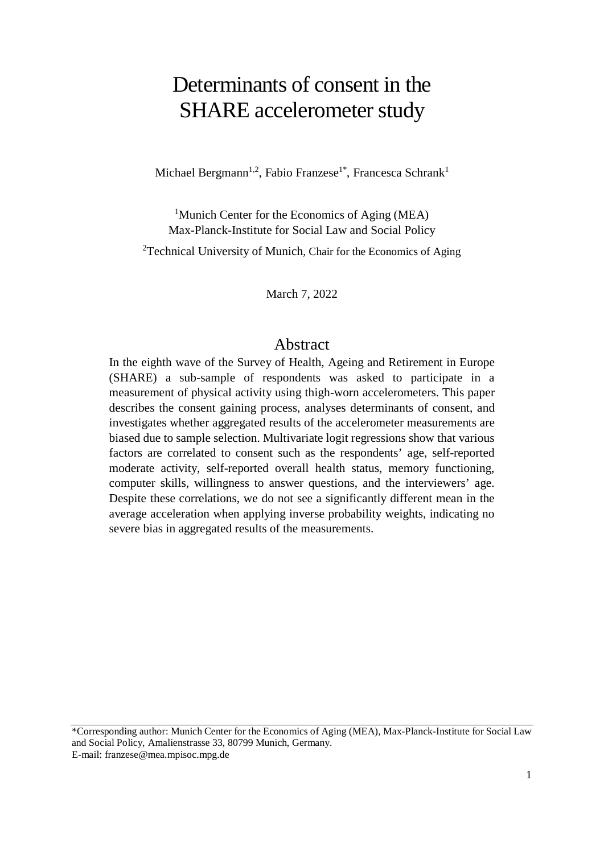## Determinants of consent in the SHARE accelerometer study

Michael Bergmann<sup>1,2</sup>, Fabio Franzese<sup>1\*</sup>, Francesca Schrank<sup>1</sup>

<sup>1</sup>Munich Center for the Economics of Aging (MEA) Max-Planck-Institute for Social Law and Social Policy

<sup>2</sup>Technical University of Munich, Chair for the Economics of Aging

March 7, 2022

### Abstract

In the eighth wave of the Survey of Health, Ageing and Retirement in Europe (SHARE) a sub-sample of respondents was asked to participate in a measurement of physical activity using thigh-worn accelerometers. This paper describes the consent gaining process, analyses determinants of consent, and investigates whether aggregated results of the accelerometer measurements are biased due to sample selection. Multivariate logit regressions show that various factors are correlated to consent such as the respondents' age, self-reported moderate activity, self-reported overall health status, memory functioning, computer skills, willingness to answer questions, and the interviewers' age. Despite these correlations, we do not see a significantly different mean in the average acceleration when applying inverse probability weights, indicating no severe bias in aggregated results of the measurements.

\*Corresponding author: Munich Center for the Economics of Aging (MEA), Max-Planck-Institute for Social Law and Social Policy, Amalienstrasse 33, 80799 Munich, Germany. E-mail: franzese@mea.mpisoc.mpg.de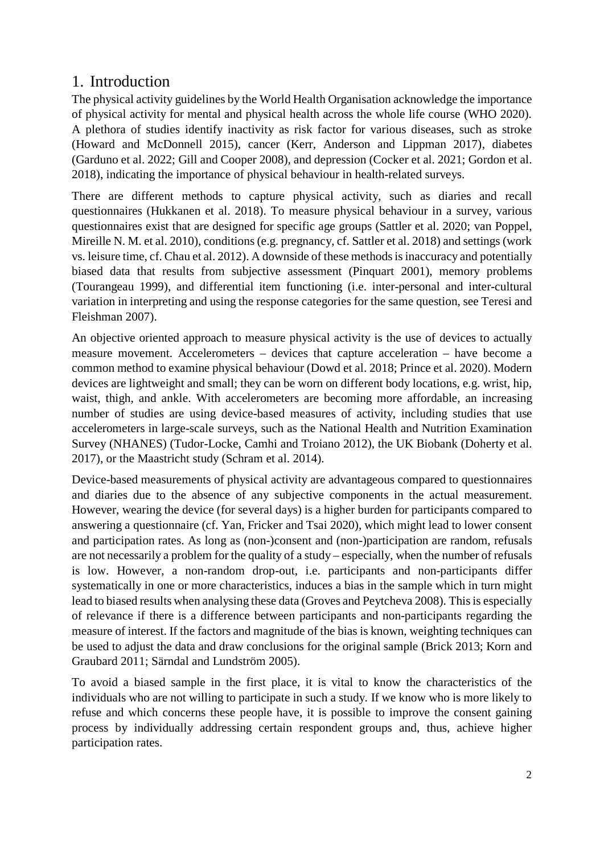## 1. Introduction

The physical activity guidelines by the World Health Organisation acknowledge the importance of physical activity for mental and physical health across the whole life course (WHO 2020). A plethora of studies identify inactivity as risk factor for various diseases, such as stroke (Howard and McDonnell 2015), cancer (Kerr, Anderson and Lippman 2017), diabetes (Garduno et al. 2022; Gill and Cooper 2008), and depression (Cocker et al. 2021; Gordon et al. 2018), indicating the importance of physical behaviour in health-related surveys.

There are different methods to capture physical activity, such as diaries and recall questionnaires (Hukkanen et al. 2018). To measure physical behaviour in a survey, various questionnaires exist that are designed for specific age groups (Sattler et al. 2020; van Poppel, Mireille N. M. et al. 2010), conditions (e.g. pregnancy, cf. Sattler et al. 2018) and settings (work vs. leisure time, cf. Chau et al. 2012). A downside of these methods is inaccuracy and potentially biased data that results from subjective assessment (Pinquart 2001), memory problems (Tourangeau 1999), and differential item functioning (i.e. inter-personal and inter-cultural variation in interpreting and using the response categories for the same question, see Teresi and Fleishman 2007).

An objective oriented approach to measure physical activity is the use of devices to actually measure movement. Accelerometers – devices that capture acceleration – have become a common method to examine physical behaviour (Dowd et al. 2018; Prince et al. 2020). Modern devices are lightweight and small; they can be worn on different body locations, e.g. wrist, hip, waist, thigh, and ankle. With accelerometers are becoming more affordable, an increasing number of studies are using device-based measures of activity, including studies that use accelerometers in large-scale surveys, such as the National Health and Nutrition Examination Survey (NHANES) (Tudor-Locke, Camhi and Troiano 2012), the UK Biobank (Doherty et al. 2017), or the Maastricht study (Schram et al. 2014).

Device-based measurements of physical activity are advantageous compared to questionnaires and diaries due to the absence of any subjective components in the actual measurement. However, wearing the device (for several days) is a higher burden for participants compared to answering a questionnaire (cf. Yan, Fricker and Tsai 2020), which might lead to lower consent and participation rates. As long as (non-)consent and (non-)participation are random, refusals are not necessarily a problem for the quality of a study – especially, when the number of refusals is low. However, a non-random drop-out, i.e. participants and non-participants differ systematically in one or more characteristics, induces a bias in the sample which in turn might lead to biased results when analysing these data (Groves and Peytcheva 2008). This is especially of relevance if there is a difference between participants and non-participants regarding the measure of interest. If the factors and magnitude of the bias is known, weighting techniques can be used to adjust the data and draw conclusions for the original sample (Brick 2013; Korn and Graubard 2011; Särndal and Lundström 2005).

To avoid a biased sample in the first place, it is vital to know the characteristics of the individuals who are not willing to participate in such a study. If we know who is more likely to refuse and which concerns these people have, it is possible to improve the consent gaining process by individually addressing certain respondent groups and, thus, achieve higher participation rates.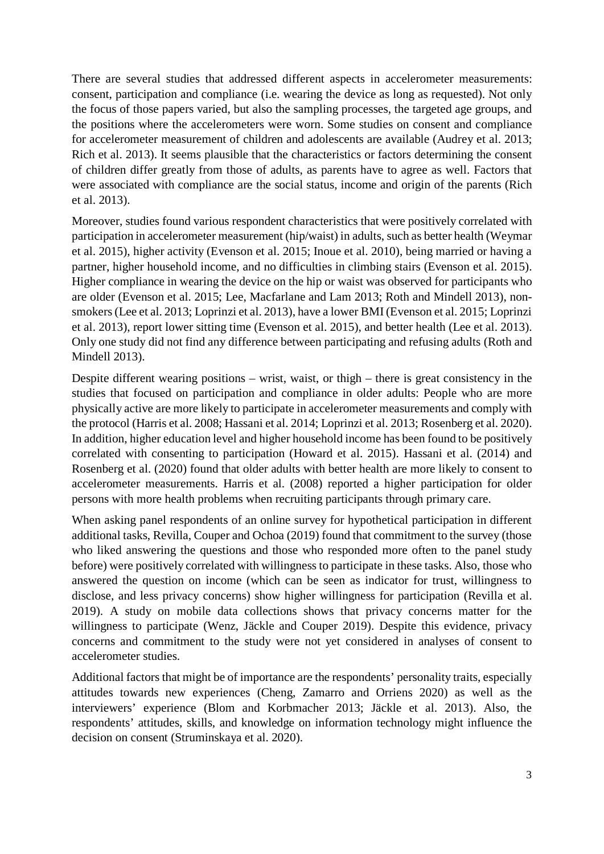There are several studies that addressed different aspects in accelerometer measurements: consent, participation and compliance (i.e. wearing the device as long as requested). Not only the focus of those papers varied, but also the sampling processes, the targeted age groups, and the positions where the accelerometers were worn. Some studies on consent and compliance for accelerometer measurement of children and adolescents are available (Audrey et al. 2013; Rich et al. 2013). It seems plausible that the characteristics or factors determining the consent of children differ greatly from those of adults, as parents have to agree as well. Factors that were associated with compliance are the social status, income and origin of the parents (Rich et al. 2013).

Moreover, studies found various respondent characteristics that were positively correlated with participation in accelerometer measurement (hip/waist) in adults, such as better health (Weymar et al. 2015), higher activity (Evenson et al. 2015; Inoue et al. 2010), being married or having a partner, higher household income, and no difficulties in climbing stairs (Evenson et al. 2015). Higher compliance in wearing the device on the hip or waist was observed for participants who are older (Evenson et al. 2015; Lee, Macfarlane and Lam 2013; Roth and Mindell 2013), nonsmokers(Lee et al. 2013; Loprinzi et al. 2013), have a lower BMI (Evenson et al. 2015; Loprinzi et al. 2013), report lower sitting time (Evenson et al. 2015), and better health (Lee et al. 2013). Only one study did not find any difference between participating and refusing adults (Roth and Mindell 2013).

Despite different wearing positions – wrist, waist, or thigh – there is great consistency in the studies that focused on participation and compliance in older adults: People who are more physically active are more likely to participate in accelerometer measurements and comply with the protocol (Harris et al. 2008; Hassani et al. 2014; Loprinzi et al. 2013; Rosenberg et al. 2020). In addition, higher education level and higher household income has been found to be positively correlated with consenting to participation (Howard et al. 2015). Hassani et al. (2014) and Rosenberg et al. (2020) found that older adults with better health are more likely to consent to accelerometer measurements. Harris et al. (2008) reported a higher participation for older persons with more health problems when recruiting participants through primary care.

When asking panel respondents of an online survey for hypothetical participation in different additional tasks, Revilla, Couper and Ochoa (2019) found that commitment to the survey (those who liked answering the questions and those who responded more often to the panel study before) were positively correlated with willingness to participate in these tasks. Also, those who answered the question on income (which can be seen as indicator for trust, willingness to disclose, and less privacy concerns) show higher willingness for participation (Revilla et al. 2019). A study on mobile data collections shows that privacy concerns matter for the willingness to participate (Wenz, Jäckle and Couper 2019). Despite this evidence, privacy concerns and commitment to the study were not yet considered in analyses of consent to accelerometer studies.

Additional factors that might be of importance are the respondents' personality traits, especially attitudes towards new experiences (Cheng, Zamarro and Orriens 2020) as well as the interviewers' experience (Blom and Korbmacher 2013; Jäckle et al. 2013). Also, the respondents' attitudes, skills, and knowledge on information technology might influence the decision on consent (Struminskaya et al. 2020).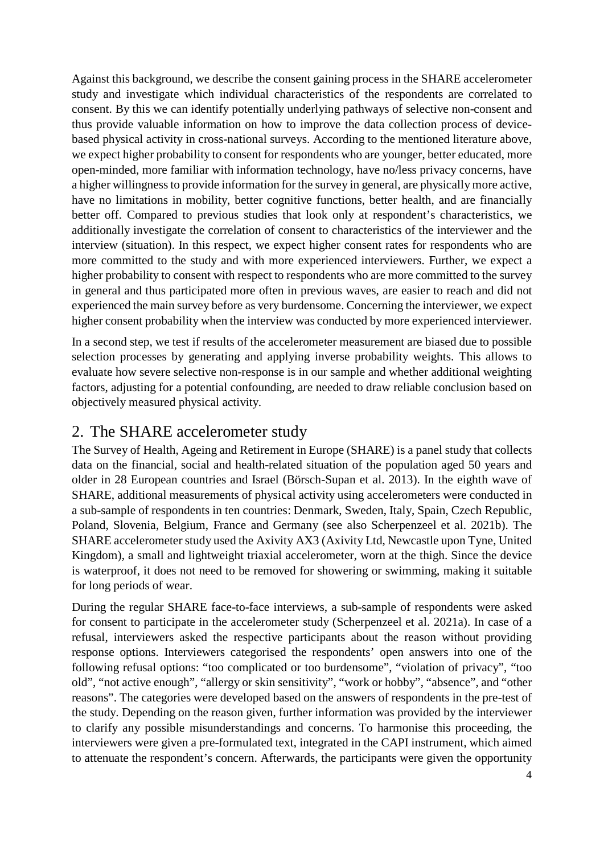Against this background, we describe the consent gaining process in the SHARE accelerometer study and investigate which individual characteristics of the respondents are correlated to consent. By this we can identify potentially underlying pathways of selective non-consent and thus provide valuable information on how to improve the data collection process of devicebased physical activity in cross-national surveys. According to the mentioned literature above, we expect higher probability to consent for respondents who are younger, better educated, more open-minded, more familiar with information technology, have no/less privacy concerns, have a higher willingness to provide information for the survey in general, are physically more active, have no limitations in mobility, better cognitive functions, better health, and are financially better off. Compared to previous studies that look only at respondent's characteristics, we additionally investigate the correlation of consent to characteristics of the interviewer and the interview (situation). In this respect, we expect higher consent rates for respondents who are more committed to the study and with more experienced interviewers. Further, we expect a higher probability to consent with respect to respondents who are more committed to the survey in general and thus participated more often in previous waves, are easier to reach and did not experienced the main survey before as very burdensome. Concerning the interviewer, we expect higher consent probability when the interview was conducted by more experienced interviewer.

In a second step, we test if results of the accelerometer measurement are biased due to possible selection processes by generating and applying inverse probability weights. This allows to evaluate how severe selective non-response is in our sample and whether additional weighting factors, adjusting for a potential confounding, are needed to draw reliable conclusion based on objectively measured physical activity.

## 2. The SHARE accelerometer study

The Survey of Health, Ageing and Retirement in Europe (SHARE) is a panel study that collects data on the financial, social and health-related situation of the population aged 50 years and older in 28 European countries and Israel (Börsch-Supan et al. 2013). In the eighth wave of SHARE, additional measurements of physical activity using accelerometers were conducted in a sub-sample of respondents in ten countries: Denmark, Sweden, Italy, Spain, Czech Republic, Poland, Slovenia, Belgium, France and Germany (see also Scherpenzeel et al. 2021b). The SHARE accelerometer study used the Axivity AX3 (Axivity Ltd, Newcastle upon Tyne, United Kingdom), a small and lightweight triaxial accelerometer, worn at the thigh. Since the device is waterproof, it does not need to be removed for showering or swimming, making it suitable for long periods of wear.

During the regular SHARE face-to-face interviews, a sub-sample of respondents were asked for consent to participate in the accelerometer study (Scherpenzeel et al. 2021a). In case of a refusal, interviewers asked the respective participants about the reason without providing response options. Interviewers categorised the respondents' open answers into one of the following refusal options: "too complicated or too burdensome", "violation of privacy", "too old", "not active enough", "allergy or skin sensitivity", "work or hobby", "absence", and "other reasons". The categories were developed based on the answers of respondents in the pre-test of the study. Depending on the reason given, further information was provided by the interviewer to clarify any possible misunderstandings and concerns. To harmonise this proceeding, the interviewers were given a pre-formulated text, integrated in the CAPI instrument, which aimed to attenuate the respondent's concern. Afterwards, the participants were given the opportunity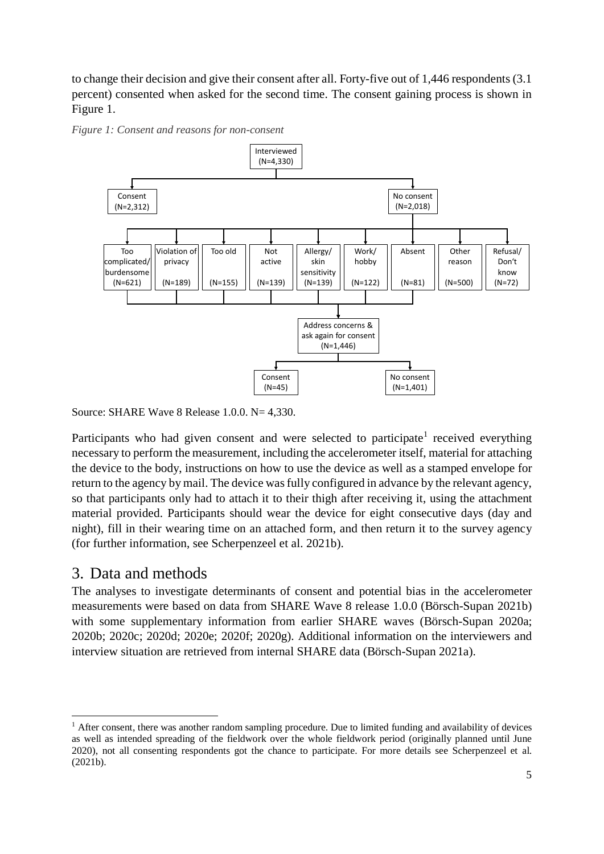to change their decision and give their consent after all. Forty-five out of 1,446 respondents (3.1 percent) consented when asked for the second time. The consent gaining process is shown in [Figure 1.](#page-6-0)



<span id="page-6-0"></span>*Figure 1: Consent and reasons for non-consent*

Source: SHARE Wave 8 Release 1.0.0. N= 4,330.

Participants who had given consent and were selected to participate<sup>[1](#page-6-1)</sup> received everything necessary to perform the measurement, including the accelerometer itself, material for attaching the device to the body, instructions on how to use the device as well as a stamped envelope for return to the agency by mail. The device was fully configured in advance by the relevant agency, so that participants only had to attach it to their thigh after receiving it, using the attachment material provided. Participants should wear the device for eight consecutive days (day and night), fill in their wearing time on an attached form, and then return it to the survey agency (for further information, see Scherpenzeel et al. 2021b).

## 3. Data and methods

The analyses to investigate determinants of consent and potential bias in the accelerometer measurements were based on data from SHARE Wave 8 release 1.0.0 (Börsch-Supan 2021b) with some supplementary information from earlier SHARE waves (Börsch-Supan 2020a; 2020b; 2020c; 2020d; 2020e; 2020f; 2020g). Additional information on the interviewers and interview situation are retrieved from internal SHARE data (Börsch-Supan 2021a).

<span id="page-6-1"></span> $<sup>1</sup>$  After consent, there was another random sampling procedure. Due to limited funding and availability of devices</sup> as well as intended spreading of the fieldwork over the whole fieldwork period (originally planned until June 2020), not all consenting respondents got the chance to participate. For more details see Scherpenzeel et al. (2021b).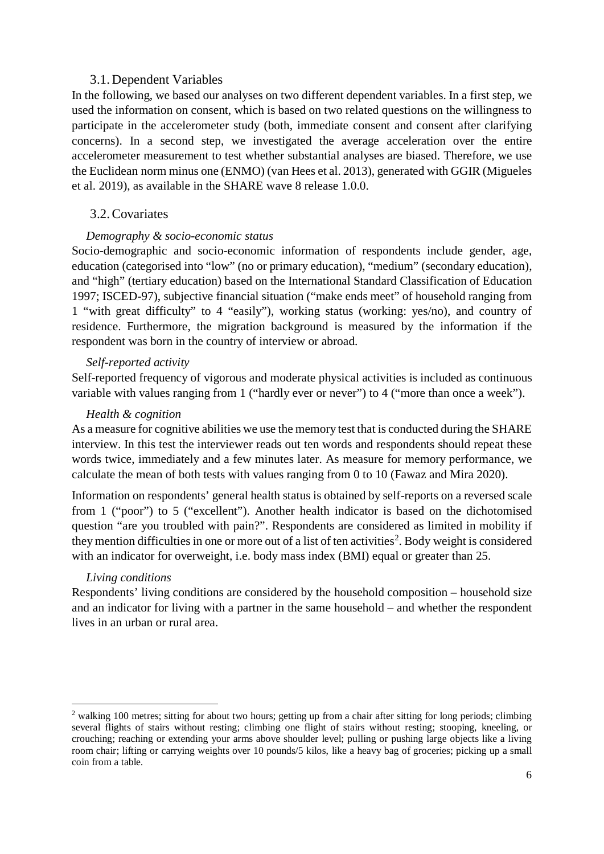#### 3.1. Dependent Variables

In the following, we based our analyses on two different dependent variables. In a first step, we used the information on consent, which is based on two related questions on the willingness to participate in the accelerometer study (both, immediate consent and consent after clarifying concerns). In a second step, we investigated the average acceleration over the entire accelerometer measurement to test whether substantial analyses are biased. Therefore, we use the Euclidean norm minus one (ENMO) (van Hees et al. 2013), generated with GGIR (Migueles et al. 2019), as available in the SHARE wave 8 release 1.0.0.

#### 3.2.Covariates

#### *Demography & socio-economic status*

Socio-demographic and socio-economic information of respondents include gender, age, education (categorised into "low" (no or primary education), "medium" (secondary education), and "high" (tertiary education) based on the International Standard Classification of Education 1997; ISCED-97), subjective financial situation ("make ends meet" of household ranging from 1 "with great difficulty" to 4 "easily"), working status (working: yes/no), and country of residence. Furthermore, the migration background is measured by the information if the respondent was born in the country of interview or abroad.

#### *Self-reported activity*

Self-reported frequency of vigorous and moderate physical activities is included as continuous variable with values ranging from 1 ("hardly ever or never") to 4 ("more than once a week").

#### *Health & cognition*

As a measure for cognitive abilities we use the memory test that is conducted during the SHARE interview. In this test the interviewer reads out ten words and respondents should repeat these words twice, immediately and a few minutes later. As measure for memory performance, we calculate the mean of both tests with values ranging from 0 to 10 (Fawaz and Mira 2020).

Information on respondents' general health status is obtained by self-reports on a reversed scale from 1 ("poor") to 5 ("excellent"). Another health indicator is based on the dichotomised question "are you troubled with pain?". Respondents are considered as limited in mobility if they mention difficulties in one or more out of a list of ten activities<sup>[2](#page-7-0)</sup>. Body weight is considered with an indicator for overweight, i.e. body mass index (BMI) equal or greater than 25.

#### *Living conditions*

Respondents' living conditions are considered by the household composition – household size and an indicator for living with a partner in the same household – and whether the respondent lives in an urban or rural area.

<span id="page-7-0"></span><sup>&</sup>lt;sup>2</sup> walking 100 metres; sitting for about two hours; getting up from a chair after sitting for long periods; climbing several flights of stairs without resting; climbing one flight of stairs without resting; stooping, kneeling, or crouching; reaching or extending your arms above shoulder level; pulling or pushing large objects like a living room chair; lifting or carrying weights over 10 pounds/5 kilos, like a heavy bag of groceries; picking up a small coin from a table.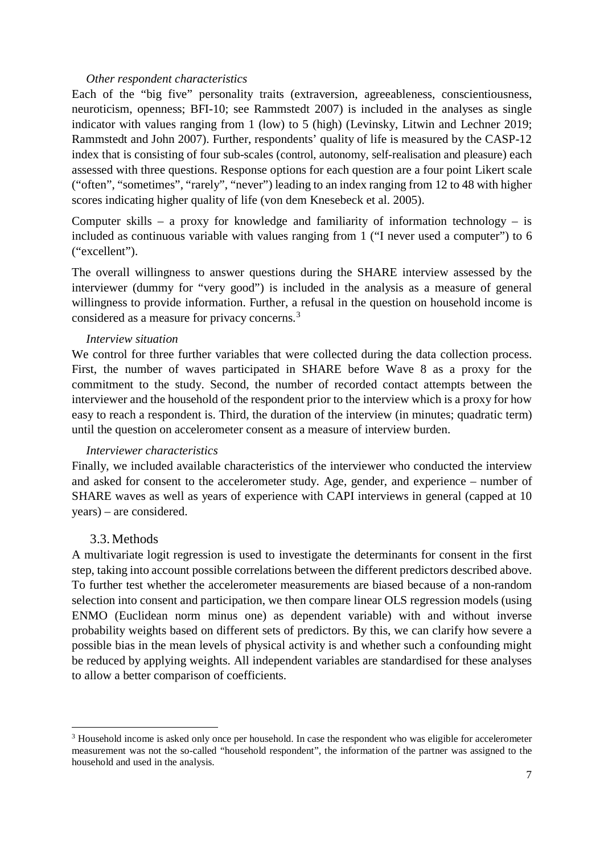#### *Other respondent characteristics*

Each of the "big five" personality traits (extraversion, agreeableness, conscientiousness, neuroticism, openness; BFI-10; see Rammstedt 2007) is included in the analyses as single indicator with values ranging from 1 (low) to 5 (high) (Levinsky, Litwin and Lechner 2019; Rammstedt and John 2007). Further, respondents' quality of life is measured by the CASP-12 index that is consisting of four sub-scales (control, autonomy, self-realisation and pleasure) each assessed with three questions. Response options for each question are a four point Likert scale ("often", "sometimes", "rarely", "never") leading to an index ranging from 12 to 48 with higher scores indicating higher quality of life (von dem Knesebeck et al. 2005).

Computer skills – a proxy for knowledge and familiarity of information technology – is included as continuous variable with values ranging from 1 ("I never used a computer") to 6 ("excellent").

The overall willingness to answer questions during the SHARE interview assessed by the interviewer (dummy for "very good") is included in the analysis as a measure of general willingness to provide information. Further, a refusal in the question on household income is considered as a measure for privacy concerns.[3](#page-8-0)

#### *Interview situation*

We control for three further variables that were collected during the data collection process. First, the number of waves participated in SHARE before Wave 8 as a proxy for the commitment to the study. Second, the number of recorded contact attempts between the interviewer and the household of the respondent prior to the interview which is a proxy for how easy to reach a respondent is. Third, the duration of the interview (in minutes; quadratic term) until the question on accelerometer consent as a measure of interview burden.

#### *Interviewer characteristics*

Finally, we included available characteristics of the interviewer who conducted the interview and asked for consent to the accelerometer study. Age, gender, and experience – number of SHARE waves as well as years of experience with CAPI interviews in general (capped at 10 years) – are considered.

#### 3.3. Methods

A multivariate logit regression is used to investigate the determinants for consent in the first step, taking into account possible correlations between the different predictors described above. To further test whether the accelerometer measurements are biased because of a non-random selection into consent and participation, we then compare linear OLS regression models (using ENMO (Euclidean norm minus one) as dependent variable) with and without inverse probability weights based on different sets of predictors. By this, we can clarify how severe a possible bias in the mean levels of physical activity is and whether such a confounding might be reduced by applying weights. All independent variables are standardised for these analyses to allow a better comparison of coefficients.

<span id="page-8-0"></span><sup>&</sup>lt;sup>3</sup> Household income is asked only once per household. In case the respondent who was eligible for accelerometer measurement was not the so-called "household respondent", the information of the partner was assigned to the household and used in the analysis.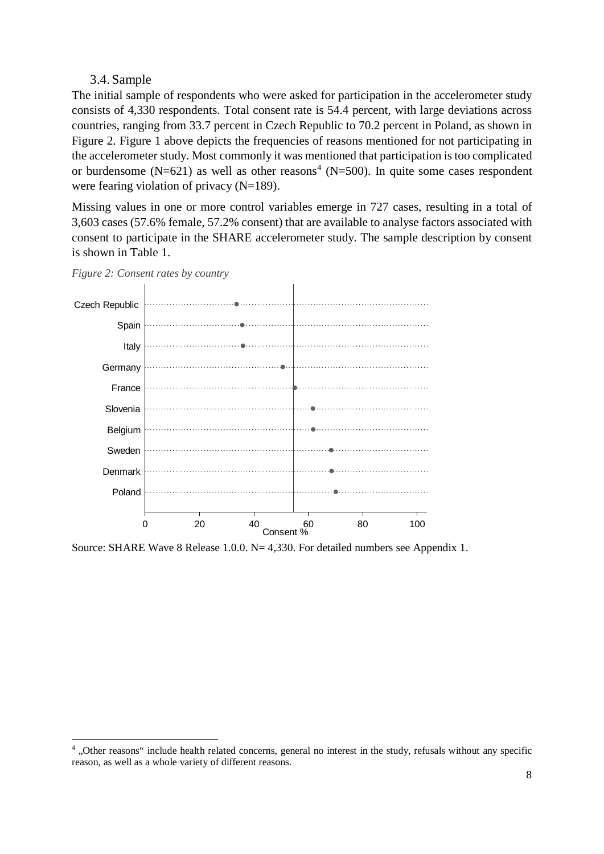#### 3.4. Sample

The initial sample of respondents who were asked for participation in the accelerometer study consists of 4,330 respondents. Total consent rate is 54.4 percent, with large deviations across countries, ranging from 33.7 percent in Czech Republic to 70.2 percent in Poland, as shown in [Figure 2.](#page-9-0) [Figure 1](#page-6-0) above depicts the frequencies of reasons mentioned for not participating in the accelerometer study. Most commonly it was mentioned that participation is too complicated or burdensome (N=621) as well as other reasons<sup>[4](#page-9-1)</sup> (N=500). In quite some cases respondent were fearing violation of privacy (N=189).

Missing values in one or more control variables emerge in 727 cases, resulting in a total of 3,603 cases (57.6% female, 57.2% consent) that are available to analyse factors associated with consent to participate in the SHARE accelerometer study. The sample description by consent is shown in [Table 1.](#page-10-0)



<span id="page-9-0"></span>*Figure 2: Consent rates by country*

Source: SHARE Wave 8 Release 1.0.0. N= 4,330. For detailed numbers see [Appendix 1.](#page-21-0)

<span id="page-9-1"></span><sup>&</sup>lt;sup>4</sup>, Other reasons" include health related concerns, general no interest in the study, refusals without any specific reason, as well as a whole variety of different reasons.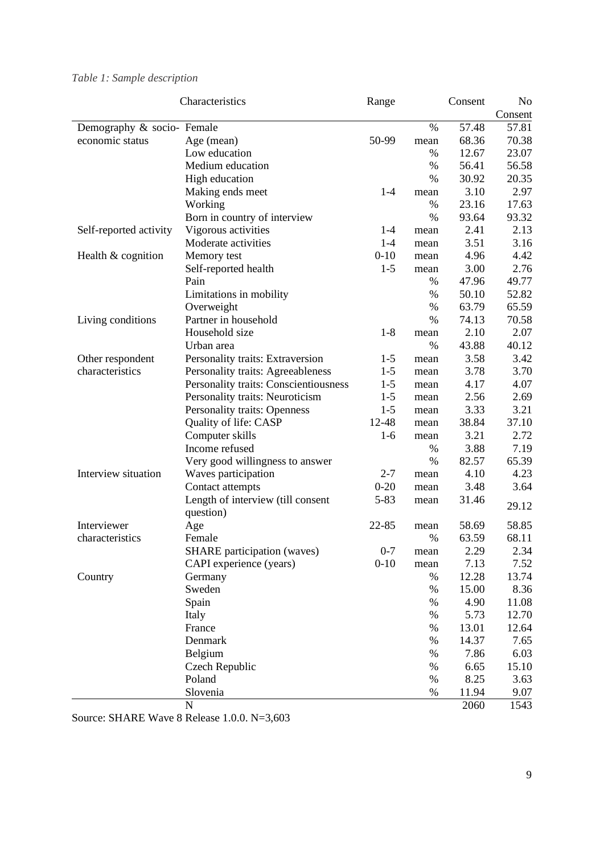## <span id="page-10-0"></span>*Table 1: Sample description*

|                            | Characteristics                       | Range    |      | Consent | N <sub>0</sub> |
|----------------------------|---------------------------------------|----------|------|---------|----------------|
|                            |                                       |          |      |         | Consent        |
| Demography & socio- Female |                                       |          | $\%$ | 57.48   | 57.81          |
| economic status            | Age (mean)                            | 50-99    | mean | 68.36   | 70.38          |
|                            | Low education                         |          | %    | 12.67   | 23.07          |
|                            | Medium education                      |          | $\%$ | 56.41   | 56.58          |
|                            | High education                        |          | $\%$ | 30.92   | 20.35          |
|                            | Making ends meet                      | $1 - 4$  | mean | 3.10    | 2.97           |
|                            | Working                               |          | $\%$ | 23.16   | 17.63          |
|                            | Born in country of interview          |          | %    | 93.64   | 93.32          |
| Self-reported activity     | Vigorous activities                   | $1 - 4$  | mean | 2.41    | 2.13           |
|                            | Moderate activities                   | $1 - 4$  | mean | 3.51    | 3.16           |
| Health & cognition         | Memory test                           | $0 - 10$ | mean | 4.96    | 4.42           |
|                            | Self-reported health                  | $1 - 5$  | mean | 3.00    | 2.76           |
|                            | Pain                                  |          | %    | 47.96   | 49.77          |
|                            | Limitations in mobility               |          | %    | 50.10   | 52.82          |
|                            | Overweight                            |          | $\%$ | 63.79   | 65.59          |
| Living conditions          | Partner in household                  |          | $\%$ | 74.13   | 70.58          |
|                            | Household size                        | $1 - 8$  | mean | 2.10    | 2.07           |
|                            | Urban area                            |          | $\%$ | 43.88   | 40.12          |
| Other respondent           | Personality traits: Extraversion      | $1-5$    | mean | 3.58    | 3.42           |
| characteristics            | Personality traits: Agreeableness     | $1 - 5$  | mean | 3.78    | 3.70           |
|                            | Personality traits: Conscientiousness | $1 - 5$  | mean | 4.17    | 4.07           |
|                            | Personality traits: Neuroticism       | $1 - 5$  | mean | 2.56    | 2.69           |
|                            | Personality traits: Openness          | $1 - 5$  | mean | 3.33    | 3.21           |
|                            | Quality of life: CASP                 | 12-48    | mean | 38.84   | 37.10          |
|                            | Computer skills                       | $1-6$    | mean | 3.21    | 2.72           |
|                            | Income refused                        |          | %    | 3.88    | 7.19           |
|                            | Very good willingness to answer       |          | %    | 82.57   | 65.39          |
| Interview situation        | Waves participation                   | $2 - 7$  | mean | 4.10    | 4.23           |
|                            | Contact attempts                      | $0 - 20$ | mean | 3.48    | 3.64           |
|                            | Length of interview (till consent     | $5 - 83$ | mean | 31.46   |                |
|                            | question)                             |          |      |         | 29.12          |
| Interviewer                | Age                                   | 22-85    | mean | 58.69   | 58.85          |
| characteristics            | Female                                |          | $\%$ | 63.59   | 68.11          |
|                            | <b>SHARE</b> participation (waves)    | $0 - 7$  | mean | 2.29    | 2.34           |
|                            | CAPI experience (years)               | $0 - 10$ | mean | 7.13    | 7.52           |
| Country                    | Germany                               |          | %    | 12.28   | 13.74          |
|                            | Sweden                                |          | %    | 15.00   | 8.36           |
|                            | Spain                                 |          | $\%$ | 4.90    | 11.08          |
|                            | Italy                                 |          | $\%$ | 5.73    | 12.70          |
|                            | France                                |          | $\%$ | 13.01   | 12.64          |
|                            | Denmark                               |          | $\%$ | 14.37   | 7.65           |
|                            | Belgium                               |          | $\%$ | 7.86    | 6.03           |
|                            | Czech Republic                        |          | $\%$ | 6.65    | 15.10          |
|                            | Poland                                |          | $\%$ | 8.25    | 3.63           |
|                            | Slovenia                              |          | $\%$ | 11.94   | 9.07           |
|                            | ${\bf N}$                             |          |      | 2060    | 1543           |

Source: SHARE Wave 8 Release 1.0.0. N=3,603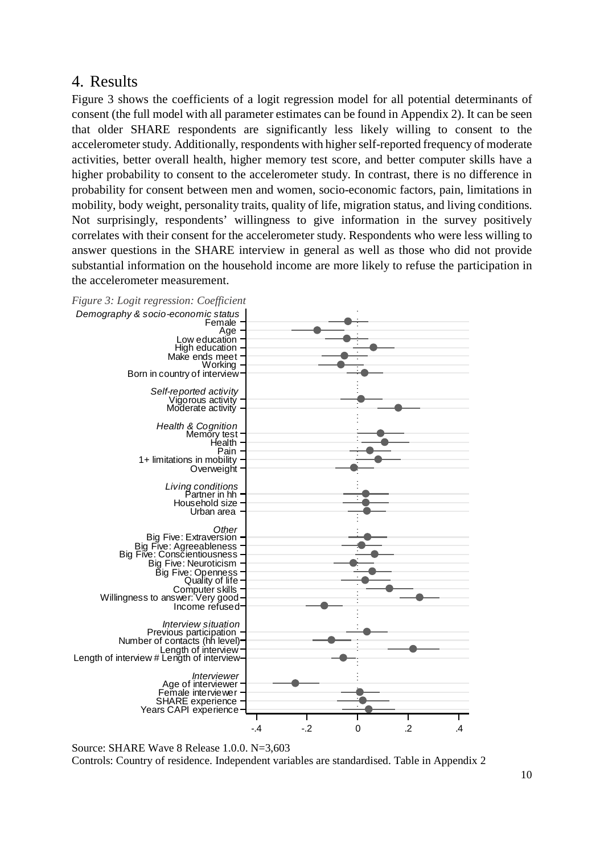## 4. Results

[Figure 3](#page-11-0) shows the coefficients of a logit regression model for all potential determinants of consent (the full model with all parameter estimates can be found in [Appendix 2\)](#page-22-0). It can be seen that older SHARE respondents are significantly less likely willing to consent to the accelerometer study. Additionally, respondents with higher self-reported frequency of moderate activities, better overall health, higher memory test score, and better computer skills have a higher probability to consent to the accelerometer study. In contrast, there is no difference in probability for consent between men and women, socio-economic factors, pain, limitations in mobility, body weight, personality traits, quality of life, migration status, and living conditions. Not surprisingly, respondents' willingness to give information in the survey positively correlates with their consent for the accelerometer study. Respondents who were less willing to answer questions in the SHARE interview in general as well as those who did not provide substantial information on the household income are more likely to refuse the participation in the accelerometer measurement.

<span id="page-11-0"></span>

Source: SHARE Wave 8 Release 1.0.0. N=3,603 Controls: Country of residence. Independent variables are standardised. Table in [Appendix 2](#page-22-0)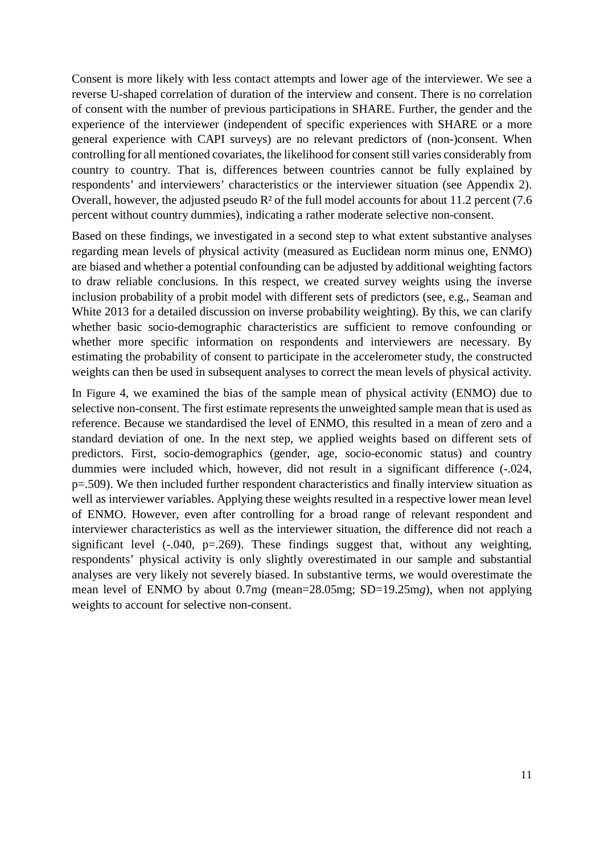Consent is more likely with less contact attempts and lower age of the interviewer. We see a reverse U-shaped correlation of duration of the interview and consent. There is no correlation of consent with the number of previous participations in SHARE. Further, the gender and the experience of the interviewer (independent of specific experiences with SHARE or a more general experience with CAPI surveys) are no relevant predictors of (non-)consent. When controlling for all mentioned covariates, the likelihood for consent still varies considerably from country to country. That is, differences between countries cannot be fully explained by respondents' and interviewers' characteristics or the interviewer situation (see [Appendix 2\)](#page-22-0). Overall, however, the adjusted pseudo  $R<sup>2</sup>$  of the full model accounts for about 11.2 percent (7.6) percent without country dummies), indicating a rather moderate selective non-consent.

Based on these findings, we investigated in a second step to what extent substantive analyses regarding mean levels of physical activity (measured as Euclidean norm minus one, ENMO) are biased and whether a potential confounding can be adjusted by additional weighting factors to draw reliable conclusions. In this respect, we created survey weights using the inverse inclusion probability of a probit model with different sets of predictors (see, e.g., Seaman and White 2013 for a detailed discussion on inverse probability weighting). By this, we can clarify whether basic socio-demographic characteristics are sufficient to remove confounding or whether more specific information on respondents and interviewers are necessary. By estimating the probability of consent to participate in the accelerometer study, the constructed weights can then be used in subsequent analyses to correct the mean levels of physical activity.

In [Figure 4,](#page-13-0) we examined the bias of the sample mean of physical activity (ENMO) due to selective non-consent. The first estimate represents the unweighted sample mean that is used as reference. Because we standardised the level of ENMO, this resulted in a mean of zero and a standard deviation of one. In the next step, we applied weights based on different sets of predictors. First, socio-demographics (gender, age, socio-economic status) and country dummies were included which, however, did not result in a significant difference (-.024, p=.509). We then included further respondent characteristics and finally interview situation as well as interviewer variables. Applying these weights resulted in a respective lower mean level of ENMO. However, even after controlling for a broad range of relevant respondent and interviewer characteristics as well as the interviewer situation, the difference did not reach a significant level  $(-.040, p=.269)$ . These findings suggest that, without any weighting, respondents' physical activity is only slightly overestimated in our sample and substantial analyses are very likely not severely biased. In substantive terms, we would overestimate the mean level of ENMO by about 0.7m*g* (mean=28.05mg; SD=19.25m*g*), when not applying weights to account for selective non-consent.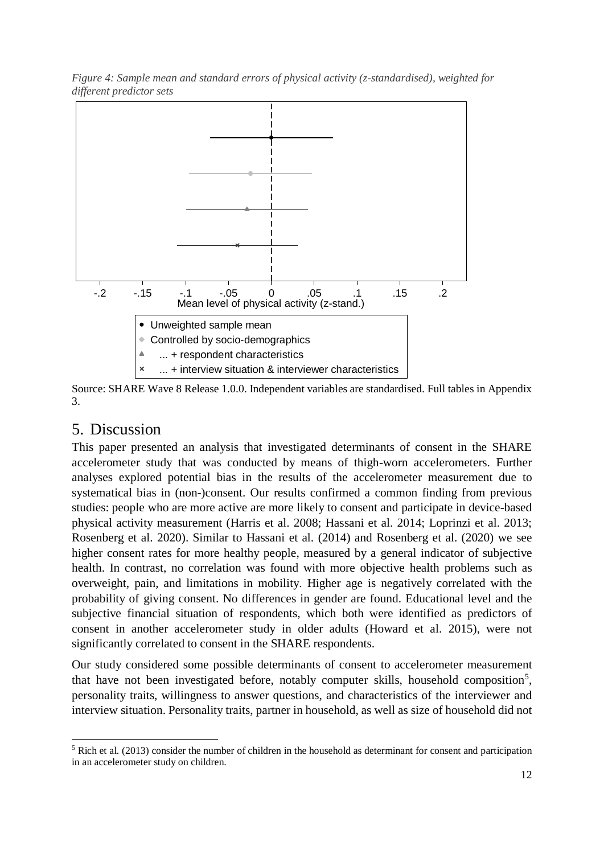

<span id="page-13-0"></span>*Figure 4: Sample mean and standard errors of physical activity (z-standardised), weighted for different predictor sets*

Source: SHARE Wave 8 Release 1.0.0. Independent variables are standardised. Full tables in [Appendix](#page-23-0)  [3.](#page-23-0)

## 5. Discussion

This paper presented an analysis that investigated determinants of consent in the SHARE accelerometer study that was conducted by means of thigh-worn accelerometers. Further analyses explored potential bias in the results of the accelerometer measurement due to systematical bias in (non-)consent. Our results confirmed a common finding from previous studies: people who are more active are more likely to consent and participate in device-based physical activity measurement (Harris et al. 2008; Hassani et al. 2014; Loprinzi et al. 2013; Rosenberg et al. 2020). Similar to Hassani et al. (2014) and Rosenberg et al. (2020) we see higher consent rates for more healthy people, measured by a general indicator of subjective health. In contrast, no correlation was found with more objective health problems such as overweight, pain, and limitations in mobility. Higher age is negatively correlated with the probability of giving consent. No differences in gender are found. Educational level and the subjective financial situation of respondents, which both were identified as predictors of consent in another accelerometer study in older adults (Howard et al. 2015), were not significantly correlated to consent in the SHARE respondents.

Our study considered some possible determinants of consent to accelerometer measurement that have not been investigated before, notably computer skills, household composition<sup>[5](#page-13-1)</sup>, personality traits, willingness to answer questions, and characteristics of the interviewer and interview situation. Personality traits, partner in household, as well as size of household did not

<span id="page-13-1"></span> <sup>5</sup> Rich et al. (2013) consider the number of children in the household as determinant for consent and participation in an accelerometer study on children.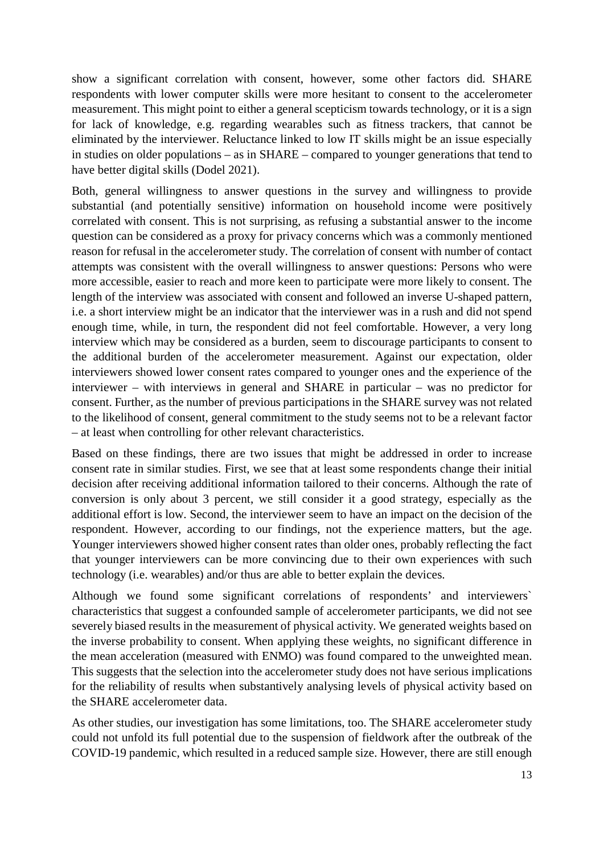show a significant correlation with consent, however, some other factors did. SHARE respondents with lower computer skills were more hesitant to consent to the accelerometer measurement. This might point to either a general scepticism towards technology, or it is a sign for lack of knowledge, e.g. regarding wearables such as fitness trackers, that cannot be eliminated by the interviewer. Reluctance linked to low IT skills might be an issue especially in studies on older populations – as in SHARE – compared to younger generations that tend to have better digital skills (Dodel 2021).

Both, general willingness to answer questions in the survey and willingness to provide substantial (and potentially sensitive) information on household income were positively correlated with consent. This is not surprising, as refusing a substantial answer to the income question can be considered as a proxy for privacy concerns which was a commonly mentioned reason for refusal in the accelerometer study. The correlation of consent with number of contact attempts was consistent with the overall willingness to answer questions: Persons who were more accessible, easier to reach and more keen to participate were more likely to consent. The length of the interview was associated with consent and followed an inverse U-shaped pattern, i.e. a short interview might be an indicator that the interviewer was in a rush and did not spend enough time, while, in turn, the respondent did not feel comfortable. However, a very long interview which may be considered as a burden, seem to discourage participants to consent to the additional burden of the accelerometer measurement. Against our expectation, older interviewers showed lower consent rates compared to younger ones and the experience of the interviewer – with interviews in general and SHARE in particular – was no predictor for consent. Further, as the number of previous participations in the SHARE survey was not related to the likelihood of consent, general commitment to the study seems not to be a relevant factor – at least when controlling for other relevant characteristics.

Based on these findings, there are two issues that might be addressed in order to increase consent rate in similar studies. First, we see that at least some respondents change their initial decision after receiving additional information tailored to their concerns. Although the rate of conversion is only about 3 percent, we still consider it a good strategy, especially as the additional effort is low. Second, the interviewer seem to have an impact on the decision of the respondent. However, according to our findings, not the experience matters, but the age. Younger interviewers showed higher consent rates than older ones, probably reflecting the fact that younger interviewers can be more convincing due to their own experiences with such technology (i.e. wearables) and/or thus are able to better explain the devices.

Although we found some significant correlations of respondents' and interviewers` characteristics that suggest a confounded sample of accelerometer participants, we did not see severely biased results in the measurement of physical activity. We generated weights based on the inverse probability to consent. When applying these weights, no significant difference in the mean acceleration (measured with ENMO) was found compared to the unweighted mean. This suggests that the selection into the accelerometer study does not have serious implications for the reliability of results when substantively analysing levels of physical activity based on the SHARE accelerometer data.

As other studies, our investigation has some limitations, too. The SHARE accelerometer study could not unfold its full potential due to the suspension of fieldwork after the outbreak of the COVID-19 pandemic, which resulted in a reduced sample size. However, there are still enough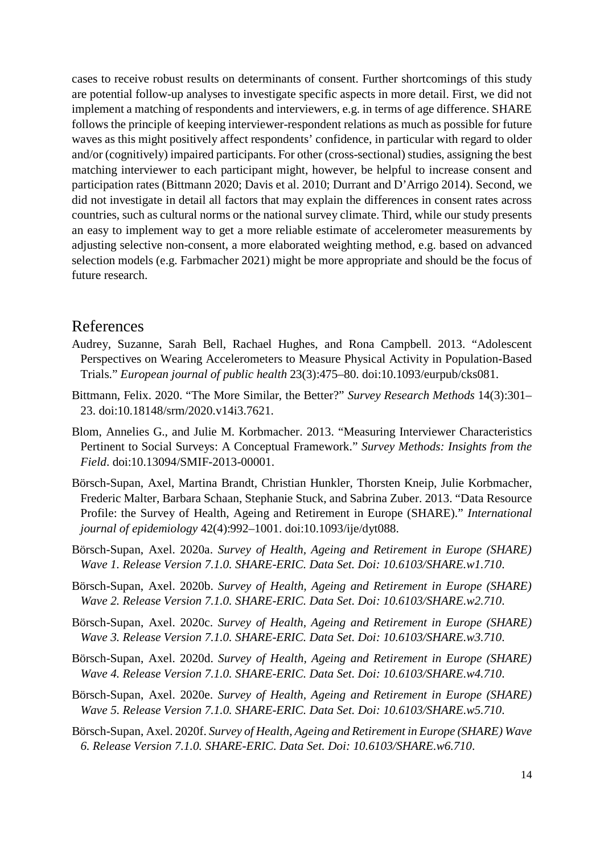cases to receive robust results on determinants of consent. Further shortcomings of this study are potential follow-up analyses to investigate specific aspects in more detail. First, we did not implement a matching of respondents and interviewers, e.g. in terms of age difference. SHARE follows the principle of keeping interviewer-respondent relations as much as possible for future waves as this might positively affect respondents' confidence, in particular with regard to older and/or (cognitively) impaired participants. For other (cross-sectional) studies, assigning the best matching interviewer to each participant might, however, be helpful to increase consent and participation rates (Bittmann 2020; Davis et al. 2010; Durrant and D'Arrigo 2014). Second, we did not investigate in detail all factors that may explain the differences in consent rates across countries, such as cultural norms or the national survey climate. Third, while our study presents an easy to implement way to get a more reliable estimate of accelerometer measurements by adjusting selective non-consent, a more elaborated weighting method, e.g. based on advanced selection models (e.g. Farbmacher 2021) might be more appropriate and should be the focus of future research.

### References

- Audrey, Suzanne, Sarah Bell, Rachael Hughes, and Rona Campbell. 2013. "Adolescent Perspectives on Wearing Accelerometers to Measure Physical Activity in Population-Based Trials." *European journal of public health* 23(3):475–80. doi:10.1093/eurpub/cks081.
- Bittmann, Felix. 2020. "The More Similar, the Better?" *Survey Research Methods* 14(3):301– 23. doi:10.18148/srm/2020.v14i3.7621.
- Blom, Annelies G., and Julie M. Korbmacher. 2013. "Measuring Interviewer Characteristics Pertinent to Social Surveys: A Conceptual Framework." *Survey Methods: Insights from the Field*. doi:10.13094/SMIF-2013-00001.
- Börsch-Supan, Axel, Martina Brandt, Christian Hunkler, Thorsten Kneip, Julie Korbmacher, Frederic Malter, Barbara Schaan, Stephanie Stuck, and Sabrina Zuber. 2013. "Data Resource Profile: the Survey of Health, Ageing and Retirement in Europe (SHARE)." *International journal of epidemiology* 42(4):992–1001. doi:10.1093/ije/dyt088.
- Börsch-Supan, Axel. 2020a. *Survey of Health, Ageing and Retirement in Europe (SHARE) Wave 1. Release Version 7.1.0. SHARE-ERIC. Data Set. Doi: 10.6103/SHARE.w1.710*.
- Börsch-Supan, Axel. 2020b. *Survey of Health, Ageing and Retirement in Europe (SHARE) Wave 2. Release Version 7.1.0. SHARE-ERIC. Data Set. Doi: 10.6103/SHARE.w2.710*.
- Börsch-Supan, Axel. 2020c. *Survey of Health, Ageing and Retirement in Europe (SHARE) Wave 3. Release Version 7.1.0. SHARE-ERIC. Data Set. Doi: 10.6103/SHARE.w3.710*.
- Börsch-Supan, Axel. 2020d. *Survey of Health, Ageing and Retirement in Europe (SHARE) Wave 4. Release Version 7.1.0. SHARE-ERIC. Data Set. Doi: 10.6103/SHARE.w4.710*.
- Börsch-Supan, Axel. 2020e. *Survey of Health, Ageing and Retirement in Europe (SHARE) Wave 5. Release Version 7.1.0. SHARE-ERIC. Data Set. Doi: 10.6103/SHARE.w5.710*.
- Börsch-Supan, Axel. 2020f. *Survey of Health, Ageing and Retirement in Europe (SHARE) Wave 6. Release Version 7.1.0. SHARE-ERIC. Data Set. Doi: 10.6103/SHARE.w6.710*.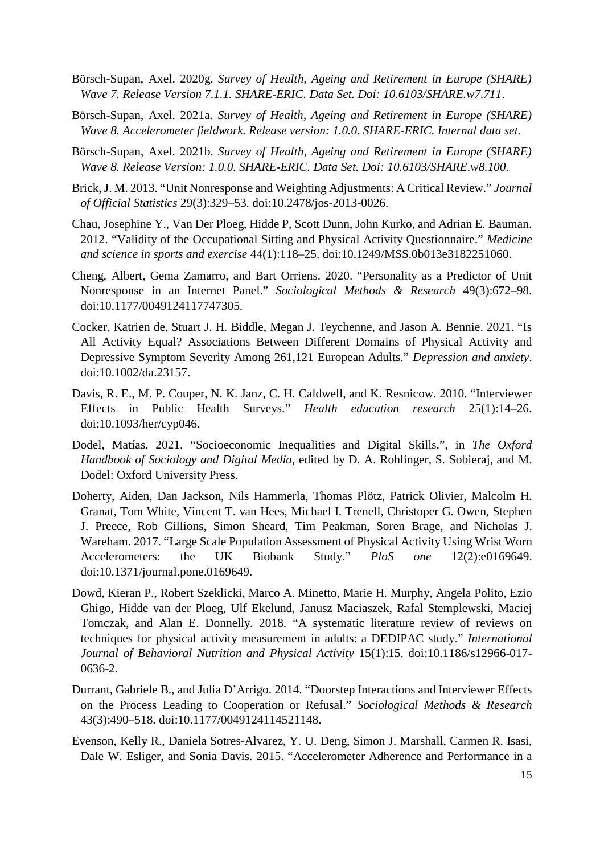- Börsch-Supan, Axel. 2020g. *Survey of Health, Ageing and Retirement in Europe (SHARE) Wave 7. Release Version 7.1.1. SHARE-ERIC. Data Set. Doi: 10.6103/SHARE.w7.711*.
- Börsch-Supan, Axel. 2021a. *Survey of Health, Ageing and Retirement in Europe (SHARE) Wave 8. Accelerometer fieldwork. Release version: 1.0.0. SHARE-ERIC. Internal data set.*
- Börsch-Supan, Axel. 2021b. *Survey of Health, Ageing and Retirement in Europe (SHARE) Wave 8. Release Version: 1.0.0. SHARE-ERIC. Data Set. Doi: 10.6103/SHARE.w8.100*.
- Brick, J. M. 2013. "Unit Nonresponse and Weighting Adjustments: A Critical Review." *Journal of Official Statistics* 29(3):329–53. doi:10.2478/jos-2013-0026.
- Chau, Josephine Y., Van Der Ploeg, Hidde P, Scott Dunn, John Kurko, and Adrian E. Bauman. 2012. "Validity of the Occupational Sitting and Physical Activity Questionnaire." *Medicine and science in sports and exercise* 44(1):118–25. doi:10.1249/MSS.0b013e3182251060.
- Cheng, Albert, Gema Zamarro, and Bart Orriens. 2020. "Personality as a Predictor of Unit Nonresponse in an Internet Panel." *Sociological Methods & Research* 49(3):672–98. doi:10.1177/0049124117747305.
- Cocker, Katrien de, Stuart J. H. Biddle, Megan J. Teychenne, and Jason A. Bennie. 2021. "Is All Activity Equal? Associations Between Different Domains of Physical Activity and Depressive Symptom Severity Among 261,121 European Adults." *Depression and anxiety*. doi:10.1002/da.23157.
- Davis, R. E., M. P. Couper, N. K. Janz, C. H. Caldwell, and K. Resnicow. 2010. "Interviewer Effects in Public Health Surveys." *Health education research* 25(1):14–26. doi:10.1093/her/cyp046.
- Dodel, Matías. 2021. "Socioeconomic Inequalities and Digital Skills.", in *The Oxford Handbook of Sociology and Digital Media,* edited by D. A. Rohlinger, S. Sobieraj, and M. Dodel: Oxford University Press.
- Doherty, Aiden, Dan Jackson, Nils Hammerla, Thomas Plötz, Patrick Olivier, Malcolm H. Granat, Tom White, Vincent T. van Hees, Michael I. Trenell, Christoper G. Owen, Stephen J. Preece, Rob Gillions, Simon Sheard, Tim Peakman, Soren Brage, and Nicholas J. Wareham. 2017. "Large Scale Population Assessment of Physical Activity Using Wrist Worn Accelerometers: the UK Biobank Study." *PloS one* 12(2):e0169649. doi:10.1371/journal.pone.0169649.
- Dowd, Kieran P., Robert Szeklicki, Marco A. Minetto, Marie H. Murphy, Angela Polito, Ezio Ghigo, Hidde van der Ploeg, Ulf Ekelund, Janusz Maciaszek, Rafal Stemplewski, Maciej Tomczak, and Alan E. Donnelly. 2018. "A systematic literature review of reviews on techniques for physical activity measurement in adults: a DEDIPAC study." *International Journal of Behavioral Nutrition and Physical Activity* 15(1):15. doi:10.1186/s12966-017- 0636-2.
- Durrant, Gabriele B., and Julia D'Arrigo. 2014. "Doorstep Interactions and Interviewer Effects on the Process Leading to Cooperation or Refusal." *Sociological Methods & Research* 43(3):490–518. doi:10.1177/0049124114521148.
- Evenson, Kelly R., Daniela Sotres-Alvarez, Y. U. Deng, Simon J. Marshall, Carmen R. Isasi, Dale W. Esliger, and Sonia Davis. 2015. "Accelerometer Adherence and Performance in a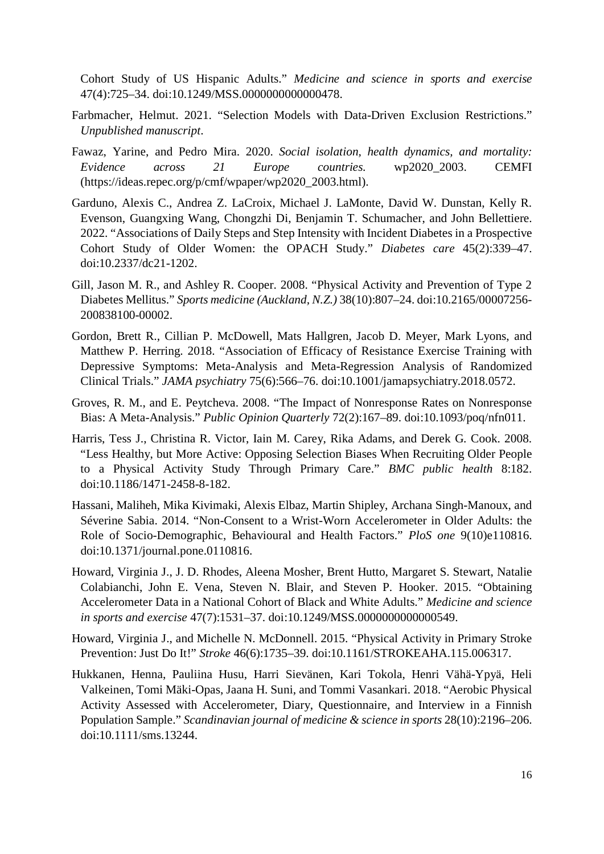Cohort Study of US Hispanic Adults." *Medicine and science in sports and exercise* 47(4):725–34. doi:10.1249/MSS.0000000000000478.

- Farbmacher, Helmut. 2021. "Selection Models with Data-Driven Exclusion Restrictions." *Unpublished manuscript*.
- Fawaz, Yarine, and Pedro Mira. 2020. *Social isolation, health dynamics, and mortality: Evidence across 21 Europe countries.* wp2020\_2003. CEMFI (https://ideas.repec.org/p/cmf/wpaper/wp2020\_2003.html).
- Garduno, Alexis C., Andrea Z. LaCroix, Michael J. LaMonte, David W. Dunstan, Kelly R. Evenson, Guangxing Wang, Chongzhi Di, Benjamin T. Schumacher, and John Bellettiere. 2022. "Associations of Daily Steps and Step Intensity with Incident Diabetes in a Prospective Cohort Study of Older Women: the OPACH Study." *Diabetes care* 45(2):339–47. doi:10.2337/dc21-1202.
- Gill, Jason M. R., and Ashley R. Cooper. 2008. "Physical Activity and Prevention of Type 2 Diabetes Mellitus." *Sports medicine (Auckland, N.Z.)* 38(10):807–24. doi:10.2165/00007256- 200838100-00002.
- Gordon, Brett R., Cillian P. McDowell, Mats Hallgren, Jacob D. Meyer, Mark Lyons, and Matthew P. Herring. 2018. "Association of Efficacy of Resistance Exercise Training with Depressive Symptoms: Meta-Analysis and Meta-Regression Analysis of Randomized Clinical Trials." *JAMA psychiatry* 75(6):566–76. doi:10.1001/jamapsychiatry.2018.0572.
- Groves, R. M., and E. Peytcheva. 2008. "The Impact of Nonresponse Rates on Nonresponse Bias: A Meta-Analysis." *Public Opinion Quarterly* 72(2):167–89. doi:10.1093/poq/nfn011.
- Harris, Tess J., Christina R. Victor, Iain M. Carey, Rika Adams, and Derek G. Cook. 2008. "Less Healthy, but More Active: Opposing Selection Biases When Recruiting Older People to a Physical Activity Study Through Primary Care." *BMC public health* 8:182. doi:10.1186/1471-2458-8-182.
- Hassani, Maliheh, Mika Kivimaki, Alexis Elbaz, Martin Shipley, Archana Singh-Manoux, and Séverine Sabia. 2014. "Non-Consent to a Wrist-Worn Accelerometer in Older Adults: the Role of Socio-Demographic, Behavioural and Health Factors." *PloS one* 9(10)e110816. doi:10.1371/journal.pone.0110816.
- Howard, Virginia J., J. D. Rhodes, Aleena Mosher, Brent Hutto, Margaret S. Stewart, Natalie Colabianchi, John E. Vena, Steven N. Blair, and Steven P. Hooker. 2015. "Obtaining Accelerometer Data in a National Cohort of Black and White Adults." *Medicine and science in sports and exercise* 47(7):1531–37. doi:10.1249/MSS.0000000000000549.
- Howard, Virginia J., and Michelle N. McDonnell. 2015. "Physical Activity in Primary Stroke Prevention: Just Do It!" *Stroke* 46(6):1735–39. doi:10.1161/STROKEAHA.115.006317.
- Hukkanen, Henna, Pauliina Husu, Harri Sievänen, Kari Tokola, Henri Vähä-Ypyä, Heli Valkeinen, Tomi Mäki-Opas, Jaana H. Suni, and Tommi Vasankari. 2018. "Aerobic Physical Activity Assessed with Accelerometer, Diary, Questionnaire, and Interview in a Finnish Population Sample." *Scandinavian journal of medicine & science in sports* 28(10):2196–206. doi:10.1111/sms.13244.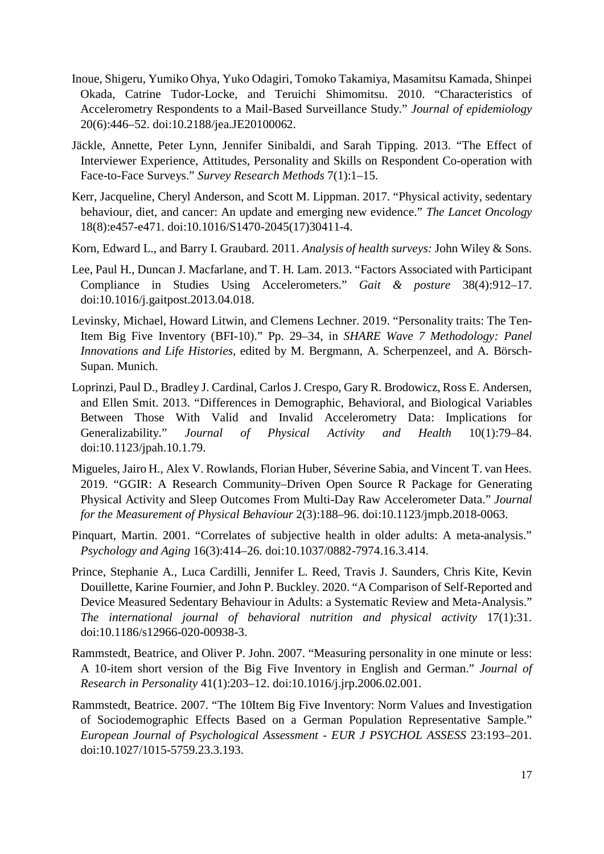- Inoue, Shigeru, Yumiko Ohya, Yuko Odagiri, Tomoko Takamiya, Masamitsu Kamada, Shinpei Okada, Catrine Tudor-Locke, and Teruichi Shimomitsu. 2010. "Characteristics of Accelerometry Respondents to a Mail-Based Surveillance Study." *Journal of epidemiology* 20(6):446–52. doi:10.2188/jea.JE20100062.
- Jäckle, Annette, Peter Lynn, Jennifer Sinibaldi, and Sarah Tipping. 2013. "The Effect of Interviewer Experience, Attitudes, Personality and Skills on Respondent Co-operation with Face-to-Face Surveys." *Survey Research Methods* 7(1):1–15.
- Kerr, Jacqueline, Cheryl Anderson, and Scott M. Lippman. 2017. "Physical activity, sedentary behaviour, diet, and cancer: An update and emerging new evidence." *The Lancet Oncology* 18(8):e457-e471. doi:10.1016/S1470-2045(17)30411-4.
- Korn, Edward L., and Barry I. Graubard. 2011. *Analysis of health surveys:* John Wiley & Sons.
- Lee, Paul H., Duncan J. Macfarlane, and T. H. Lam. 2013. "Factors Associated with Participant Compliance in Studies Using Accelerometers." *Gait & posture* 38(4):912–17. doi:10.1016/j.gaitpost.2013.04.018.
- Levinsky, Michael, Howard Litwin, and Clemens Lechner. 2019. "Personality traits: The Ten-Item Big Five Inventory (BFI-10)." Pp. 29–34, in *SHARE Wave 7 Methodology: Panel Innovations and Life Histories,* edited by M. Bergmann, A. Scherpenzeel, and A. Börsch-Supan. Munich.
- Loprinzi, Paul D., Bradley J. Cardinal, Carlos J. Crespo, Gary R. Brodowicz, Ross E. Andersen, and Ellen Smit. 2013. "Differences in Demographic, Behavioral, and Biological Variables Between Those With Valid and Invalid Accelerometry Data: Implications for Generalizability." *Journal of Physical Activity and Health* 10(1):79–84. doi:10.1123/jpah.10.1.79.
- Migueles, Jairo H., Alex V. Rowlands, Florian Huber, Séverine Sabia, and Vincent T. van Hees. 2019. "GGIR: A Research Community–Driven Open Source R Package for Generating Physical Activity and Sleep Outcomes From Multi-Day Raw Accelerometer Data." *Journal for the Measurement of Physical Behaviour* 2(3):188–96. doi:10.1123/jmpb.2018-0063.
- Pinquart, Martin. 2001. "Correlates of subjective health in older adults: A meta-analysis." *Psychology and Aging* 16(3):414–26. doi:10.1037/0882-7974.16.3.414.
- Prince, Stephanie A., Luca Cardilli, Jennifer L. Reed, Travis J. Saunders, Chris Kite, Kevin Douillette, Karine Fournier, and John P. Buckley. 2020. "A Comparison of Self-Reported and Device Measured Sedentary Behaviour in Adults: a Systematic Review and Meta-Analysis." *The international journal of behavioral nutrition and physical activity* 17(1):31. doi:10.1186/s12966-020-00938-3.
- Rammstedt, Beatrice, and Oliver P. John. 2007. "Measuring personality in one minute or less: A 10-item short version of the Big Five Inventory in English and German." *Journal of Research in Personality* 41(1):203–12. doi:10.1016/j.jrp.2006.02.001.
- Rammstedt, Beatrice. 2007. "The 10Item Big Five Inventory: Norm Values and Investigation of Sociodemographic Effects Based on a German Population Representative Sample." *European Journal of Psychological Assessment - EUR J PSYCHOL ASSESS* 23:193–201. doi:10.1027/1015-5759.23.3.193.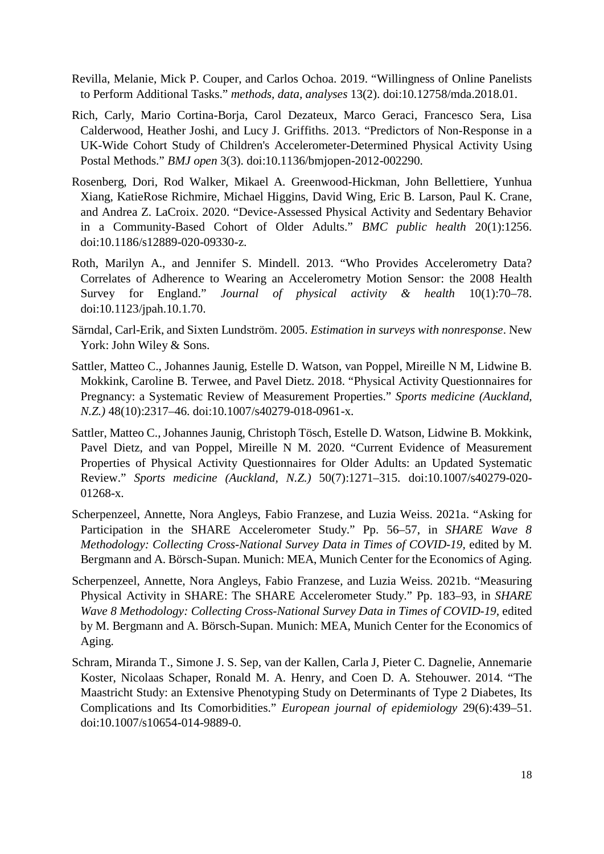- Revilla, Melanie, Mick P. Couper, and Carlos Ochoa. 2019. "Willingness of Online Panelists to Perform Additional Tasks." *methods, data, analyses* 13(2). doi:10.12758/mda.2018.01.
- Rich, Carly, Mario Cortina-Borja, Carol Dezateux, Marco Geraci, Francesco Sera, Lisa Calderwood, Heather Joshi, and Lucy J. Griffiths. 2013. "Predictors of Non-Response in a UK-Wide Cohort Study of Children's Accelerometer-Determined Physical Activity Using Postal Methods." *BMJ open* 3(3). doi:10.1136/bmjopen-2012-002290.
- Rosenberg, Dori, Rod Walker, Mikael A. Greenwood-Hickman, John Bellettiere, Yunhua Xiang, KatieRose Richmire, Michael Higgins, David Wing, Eric B. Larson, Paul K. Crane, and Andrea Z. LaCroix. 2020. "Device-Assessed Physical Activity and Sedentary Behavior in a Community-Based Cohort of Older Adults." *BMC public health* 20(1):1256. doi:10.1186/s12889-020-09330-z.
- Roth, Marilyn A., and Jennifer S. Mindell. 2013. "Who Provides Accelerometry Data? Correlates of Adherence to Wearing an Accelerometry Motion Sensor: the 2008 Health Survey for England." *Journal of physical activity & health* 10(1):70–78. doi:10.1123/jpah.10.1.70.
- Särndal, Carl-Erik, and Sixten Lundström. 2005. *Estimation in surveys with nonresponse*. New York: John Wiley & Sons.
- Sattler, Matteo C., Johannes Jaunig, Estelle D. Watson, van Poppel, Mireille N M, Lidwine B. Mokkink, Caroline B. Terwee, and Pavel Dietz. 2018. "Physical Activity Questionnaires for Pregnancy: a Systematic Review of Measurement Properties." *Sports medicine (Auckland, N.Z.)* 48(10):2317–46. doi:10.1007/s40279-018-0961-x.
- Sattler, Matteo C., Johannes Jaunig, Christoph Tösch, Estelle D. Watson, Lidwine B. Mokkink, Pavel Dietz, and van Poppel, Mireille N M. 2020. "Current Evidence of Measurement Properties of Physical Activity Questionnaires for Older Adults: an Updated Systematic Review." *Sports medicine (Auckland, N.Z.)* 50(7):1271–315. doi:10.1007/s40279-020- 01268-x.
- Scherpenzeel, Annette, Nora Angleys, Fabio Franzese, and Luzia Weiss. 2021a. "Asking for Participation in the SHARE Accelerometer Study." Pp. 56–57, in *SHARE Wave 8 Methodology: Collecting Cross-National Survey Data in Times of COVID-19, edited by M.* Bergmann and A. Börsch-Supan. Munich: MEA, Munich Center for the Economics of Aging.
- Scherpenzeel, Annette, Nora Angleys, Fabio Franzese, and Luzia Weiss. 2021b. "Measuring Physical Activity in SHARE: The SHARE Accelerometer Study." Pp. 183–93, in *SHARE Wave 8 Methodology: Collecting Cross-National Survey Data in Times of COVID-19*, edited by M. Bergmann and A. Börsch-Supan. Munich: MEA, Munich Center for the Economics of Aging.
- Schram, Miranda T., Simone J. S. Sep, van der Kallen, Carla J, Pieter C. Dagnelie, Annemarie Koster, Nicolaas Schaper, Ronald M. A. Henry, and Coen D. A. Stehouwer. 2014. "The Maastricht Study: an Extensive Phenotyping Study on Determinants of Type 2 Diabetes, Its Complications and Its Comorbidities." *European journal of epidemiology* 29(6):439–51. doi:10.1007/s10654-014-9889-0.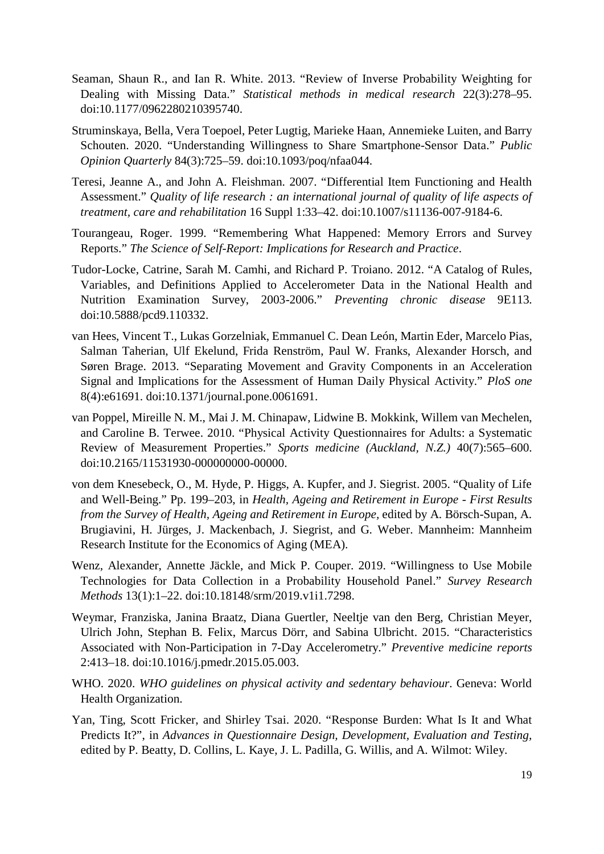- Seaman, Shaun R., and Ian R. White. 2013. "Review of Inverse Probability Weighting for Dealing with Missing Data." *Statistical methods in medical research* 22(3):278–95. doi:10.1177/0962280210395740.
- Struminskaya, Bella, Vera Toepoel, Peter Lugtig, Marieke Haan, Annemieke Luiten, and Barry Schouten. 2020. "Understanding Willingness to Share Smartphone-Sensor Data." *Public Opinion Quarterly* 84(3):725–59. doi:10.1093/poq/nfaa044.
- Teresi, Jeanne A., and John A. Fleishman. 2007. "Differential Item Functioning and Health Assessment." *Quality of life research : an international journal of quality of life aspects of treatment, care and rehabilitation* 16 Suppl 1:33–42. doi:10.1007/s11136-007-9184-6.
- Tourangeau, Roger. 1999. "Remembering What Happened: Memory Errors and Survey Reports." *The Science of Self-Report: Implications for Research and Practice*.
- Tudor-Locke, Catrine, Sarah M. Camhi, and Richard P. Troiano. 2012. "A Catalog of Rules, Variables, and Definitions Applied to Accelerometer Data in the National Health and Nutrition Examination Survey, 2003-2006." *Preventing chronic disease* 9E113. doi:10.5888/pcd9.110332.
- van Hees, Vincent T., Lukas Gorzelniak, Emmanuel C. Dean León, Martin Eder, Marcelo Pias, Salman Taherian, Ulf Ekelund, Frida Renström, Paul W. Franks, Alexander Horsch, and Søren Brage. 2013. "Separating Movement and Gravity Components in an Acceleration Signal and Implications for the Assessment of Human Daily Physical Activity." *PloS one* 8(4):e61691. doi:10.1371/journal.pone.0061691.
- van Poppel, Mireille N. M., Mai J. M. Chinapaw, Lidwine B. Mokkink, Willem van Mechelen, and Caroline B. Terwee. 2010. "Physical Activity Questionnaires for Adults: a Systematic Review of Measurement Properties." *Sports medicine (Auckland, N.Z.)* 40(7):565–600. doi:10.2165/11531930-000000000-00000.
- von dem Knesebeck, O., M. Hyde, P. Higgs, A. Kupfer, and J. Siegrist. 2005. "Quality of Life and Well-Being." Pp. 199–203, in *Health, Ageing and Retirement in Europe - First Results from the Survey of Health, Ageing and Retirement in Europe,* edited by A. Börsch-Supan, A. Brugiavini, H. Jürges, J. Mackenbach, J. Siegrist, and G. Weber. Mannheim: Mannheim Research Institute for the Economics of Aging (MEA).
- Wenz, Alexander, Annette Jäckle, and Mick P. Couper. 2019. "Willingness to Use Mobile Technologies for Data Collection in a Probability Household Panel." *Survey Research Methods* 13(1):1–22. doi:10.18148/srm/2019.v1i1.7298.
- Weymar, Franziska, Janina Braatz, Diana Guertler, Neeltje van den Berg, Christian Meyer, Ulrich John, Stephan B. Felix, Marcus Dörr, and Sabina Ulbricht. 2015. "Characteristics Associated with Non-Participation in 7-Day Accelerometry." *Preventive medicine reports* 2:413–18. doi:10.1016/j.pmedr.2015.05.003.
- WHO. 2020. *WHO guidelines on physical activity and sedentary behaviour*. Geneva: World Health Organization.
- Yan, Ting, Scott Fricker, and Shirley Tsai. 2020. "Response Burden: What Is It and What Predicts It?", in *Advances in Questionnaire Design, Development, Evaluation and Testing,*  edited by P. Beatty, D. Collins, L. Kaye, J. L. Padilla, G. Willis, and A. Wilmot: Wiley.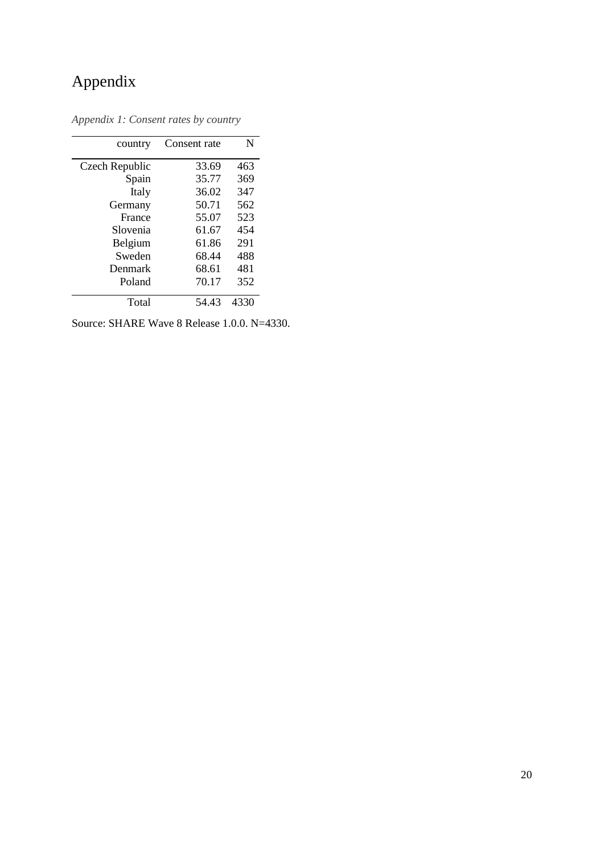## Appendix

| country        | Consent rate | N    |
|----------------|--------------|------|
| Czech Republic | 33.69        | 463  |
| Spain          | 35.77        | 369  |
| Italy          | 36.02        | 347  |
| Germany        | 50.71        | 562  |
| France         | 55.07        | 523  |
| Slovenia       | 61.67        | 454  |
| Belgium        | 61.86        | 291  |
| Sweden         | 68.44        | 488  |
| Denmark        | 68.61        | 481  |
| Poland         | 70.17        | 352  |
| Total          | 54 43        | 4330 |

<span id="page-21-0"></span>*Appendix 1: Consent rates by country*

Source: SHARE Wave 8 Release 1.0.0. N=4330.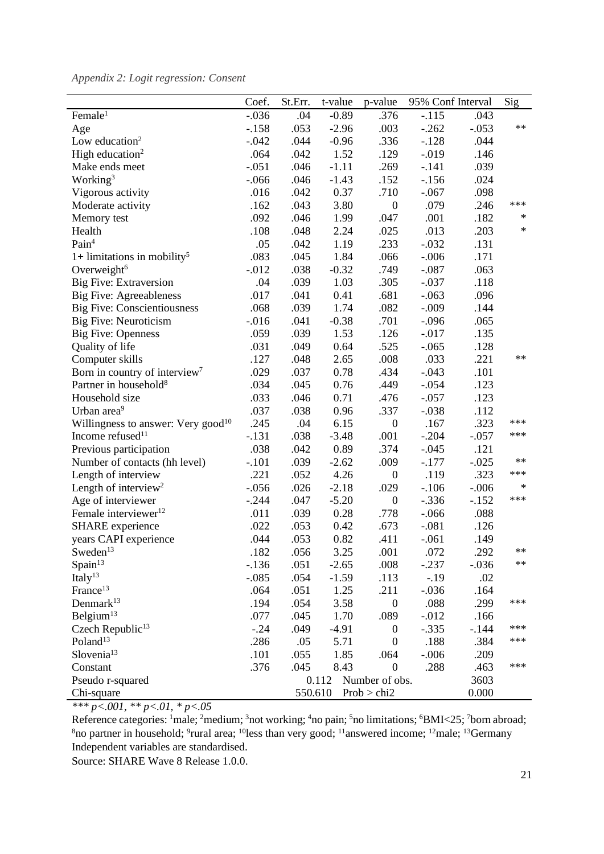<span id="page-22-0"></span>

| Appendix 2: Logit regression: Consent |  |  |  |
|---------------------------------------|--|--|--|
|---------------------------------------|--|--|--|

|                                                | Coef.                           | St.Err. | t-value | p-value          | 95% Conf Interval |         | Sig        |
|------------------------------------------------|---------------------------------|---------|---------|------------------|-------------------|---------|------------|
| Female <sup>1</sup>                            | $-.036$                         | .04     | $-0.89$ | .376             | $-.115$           | .043    |            |
| Age                                            | $-.158$                         | .053    | $-2.96$ | .003             | $-.262$           | $-.053$ | $**$       |
| Low education <sup>2</sup>                     | $-0.042$                        | .044    | $-0.96$ | .336             | $-.128$           | .044    |            |
| High education <sup>2</sup>                    | .064                            | .042    | 1.52    | .129             | $-0.019$          | .146    |            |
| Make ends meet                                 | $-.051$                         | .046    | $-1.11$ | .269             | $-.141$           | .039    |            |
| Working <sup>3</sup>                           | $-0.066$                        | .046    | $-1.43$ | .152             | $-156$            | .024    |            |
| Vigorous activity                              | .016                            | .042    | 0.37    | .710             | $-.067$           | .098    |            |
| Moderate activity                              | .162                            | .043    | 3.80    | $\boldsymbol{0}$ | .079              | .246    | ***        |
| Memory test                                    | .092                            | .046    | 1.99    | .047             | .001              | .182    | $\ast$     |
| Health                                         | .108                            | .048    | 2.24    | .025             | .013              | .203    | $\ast$     |
| Pain <sup>4</sup>                              | .05                             | .042    | 1.19    | .233             | $-.032$           | .131    |            |
| 1+ limitations in mobility <sup>5</sup>        | .083                            | .045    | 1.84    | .066             | $-.006$           | .171    |            |
| Overweight <sup>6</sup>                        | $-0.012$                        | .038    | $-0.32$ | .749             | $-.087$           | .063    |            |
| Big Five: Extraversion                         | .04                             | .039    | 1.03    | .305             | $-.037$           | .118    |            |
| <b>Big Five: Agreeableness</b>                 | .017                            | .041    | 0.41    | .681             | $-.063$           | .096    |            |
| <b>Big Five: Conscientiousness</b>             | .068                            | .039    | 1.74    | .082             | $-.009$           | .144    |            |
| <b>Big Five: Neuroticism</b>                   | $-0.016$                        | .041    | $-0.38$ | .701             | $-.096$           | .065    |            |
| <b>Big Five: Openness</b>                      | .059                            | .039    | 1.53    | .126             | $-0.017$          | .135    |            |
| Quality of life                                | .031                            | .049    | 0.64    | .525             | $-.065$           | .128    |            |
| Computer skills                                | .127                            | .048    | 2.65    | .008             | .033              | .221    | $**$       |
| Born in country of interview <sup>7</sup>      | .029                            | .037    | 0.78    | .434             | $-.043$           | .101    |            |
| Partner in household <sup>8</sup>              | .034                            | .045    | 0.76    | .449             | $-.054$           | .123    |            |
| Household size                                 | .033                            | .046    | 0.71    | .476             | $-.057$           | .123    |            |
| Urban area <sup>9</sup>                        | .037                            | .038    | 0.96    | .337             | $-.038$           | .112    |            |
| Willingness to answer: Very good <sup>10</sup> | .245                            | .04     | 6.15    | $\boldsymbol{0}$ | .167              | .323    | ***        |
| Income refused <sup>11</sup>                   | $-.131$                         | .038    | $-3.48$ | .001             | $-.204$           | $-.057$ | ***        |
| Previous participation                         | .038                            | .042    | 0.89    | .374             | $-.045$           | .121    |            |
| Number of contacts (hh level)                  | $-.101$                         | .039    | $-2.62$ | .009             | $-.177$           | $-.025$ | $\ast\ast$ |
| Length of interview                            | .221                            | .052    | 4.26    | $\boldsymbol{0}$ | .119              | .323    | ***        |
| Length of interview <sup>2</sup>               | $-0.056$                        | .026    | $-2.18$ | .029             | $-.106$           | $-.006$ | $\ast$     |
| Age of interviewer                             | $-.244$                         | .047    | $-5.20$ | $\boldsymbol{0}$ | $-.336$           | $-.152$ | ***        |
| Female interviewer <sup>12</sup>               | .011                            | .039    | 0.28    | .778             | $-0.066$          | .088    |            |
| <b>SHARE</b> experience                        | .022                            | .053    | 0.42    | .673             | $-.081$           | .126    |            |
| years CAPI experience                          | .044                            | .053    | 0.82    | .411             | $-.061$           | .149    |            |
| Sweden <sup>13</sup>                           | .182                            | .056    | 3.25    | .001             | .072              | .292    | $\ast\ast$ |
| Spain <sup>13</sup>                            | $-.136$                         | .051    | $-2.65$ | .008             | $-.237$           | $-.036$ | $\ast\ast$ |
| Italy $^{13}$                                  | $-.085$                         | .054    | $-1.59$ | .113             | $-.19$            | .02     |            |
| France <sup>13</sup>                           | .064                            | .051    | 1.25    | .211             | $-.036$           | .164    |            |
| Denmark <sup>13</sup>                          | .194                            | .054    | 3.58    | $\boldsymbol{0}$ | .088              | .299    | ***        |
| Belgium <sup>13</sup>                          | .077                            | .045    | 1.70    | .089             | $-0.012$          | .166    |            |
| Czech Republic $^{13}$                         | $-.24$                          | .049    | $-4.91$ | $\boldsymbol{0}$ | $-.335$           | $-144$  | ***        |
| Poland <sup>13</sup>                           | .286                            | .05     | 5.71    | $\overline{0}$   | .188              | .384    | ***        |
| Slovenia <sup>13</sup>                         | .101                            | .055    | 1.85    | .064             | $-.006$           | .209    |            |
| Constant                                       | .376                            | .045    | 8.43    | $\boldsymbol{0}$ | .288              | .463    | ***        |
| Pseudo r-squared                               |                                 |         | 0.112   | Number of obs.   |                   | 3603    |            |
| Chi-square                                     | 550.610<br>Prob > chi2<br>0.000 |         |         |                  |                   |         |            |

*\*\*\* p<.001, \*\* p<.01, \* p<.05*

Reference categories: <sup>1</sup>male; <sup>2</sup>medium; <sup>3</sup>not working; <sup>4</sup>no pain; <sup>5</sup>no limitations; <sup>6</sup>BMI<25; <sup>7</sup>born abroad; <sup>8</sup>no partner in household; <sup>9</sup>rural area; <sup>10</sup>less than very good; <sup>11</sup>answered income; <sup>12</sup>male; <sup>13</sup>Germany Independent variables are standardised.

Source: SHARE Wave 8 Release 1.0.0.